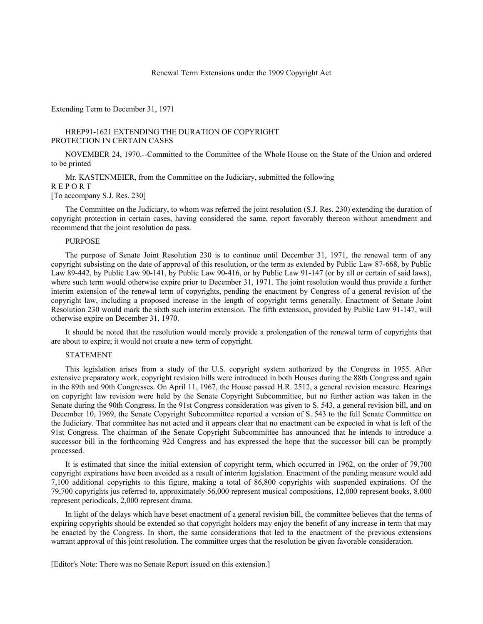### Renewal Term Extensions under the 1909 Copyright Act

## Extending Term to December 31, 1971

# HREP91-1621 EXTENDING THE DURATION OF COPYRIGHT PROTECTION IN CERTAIN CASES

NOVEMBER 24, 1970.--Committed to the Committee of the Whole House on the State of the Union and ordered to be printed

Mr. KASTENMEIER, from the Committee on the Judiciary, submitted the following R E P O R T [To accompany S.J. Res. 230]

The Committee on the Judiciary, to whom was referred the joint resolution (S.J. Res. 230) extending the duration of copyright protection in certain cases, having considered the same, report favorably thereon without amendment and recommend that the joint resolution do pass.

### PURPOSE

The purpose of Senate Joint Resolution 230 is to continue until December 31, 1971, the renewal term of any copyright subsisting on the date of approval of this resolution, or the term as extended by Public Law 87-668, by Public Law 89-442, by Public Law 90-141, by Public Law 90-416, or by Public Law 91-147 (or by all or certain of said laws), where such term would otherwise expire prior to December 31, 1971. The joint resolution would thus provide a further interim extension of the renewal term of copyrights, pending the enactment by Congress of a general revision of the copyright law, including a proposed increase in the length of copyright terms generally. Enactment of Senate Joint Resolution 230 would mark the sixth such interim extension. The fifth extension, provided by Public Law 91-147, will otherwise expire on December 31, 1970.

It should be noted that the resolution would merely provide a prolongation of the renewal term of copyrights that are about to expire; it would not create a new term of copyright.

#### STATEMENT

This legislation arises from a study of the U.S. copyright system authorized by the Congress in 1955. After extensive preparatory work, copyright revision bills were introduced in both Houses during the 88th Congress and again in the 89th and 90th Congresses. On April 11, 1967, the House passed H.R. 2512, a general revision measure. Hearings on copyright law revision were held by the Senate Copyright Subcommittee, but no further action was taken in the Senate during the 90th Congress. In the 91st Congress consideration was given to S. 543, a general revision bill, and on December 10, 1969, the Senate Copyright Subcommittee reported a version of S. 543 to the full Senate Committee on the Judiciary. That committee has not acted and it appears clear that no enactment can be expected in what is left of the 91st Congress. The chairman of the Senate Copyright Subcommittee has announced that he intends to introduce a successor bill in the forthcoming 92d Congress and has expressed the hope that the successor bill can be promptly processed.

It is estimated that since the initial extension of copyright term, which occurred in 1962, on the order of 79,700 copyright expirations have been avoided as a result of interim legislation. Enactment of the pending measure would add 7,100 additional copyrights to this figure, making a total of 86,800 copyrights with suspended expirations. Of the 79,700 copyrights jus referred to, approximately 56,000 represent musical compositions, 12,000 represent books, 8,000 represent periodicals, 2,000 represent drama.

In light of the delays which have beset enactment of a general revision bill, the committee believes that the terms of expiring copyrights should be extended so that copyright holders may enjoy the benefit of any increase in term that may be enacted by the Congress. In short, the same considerations that led to the enactment of the previous extensions warrant approval of this joint resolution. The committee urges that the resolution be given favorable consideration.

[Editor's Note: There was no Senate Report issued on this extension.]